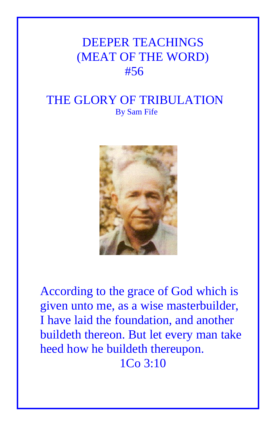## DEEPER TEACHINGS (MEAT OF THE WORD) #56

## THE GLORY OF TRIBULATION By Sam Fife



According to the grace of God which is given unto me, as a wise masterbuilder, I have laid the foundation, and another buildeth thereon. But let every man take heed how he buildeth thereupon. 1Co 3:10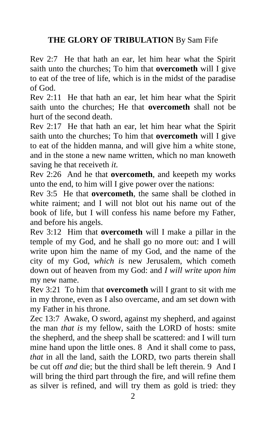## **THE GLORY OF TRIBULATION** By Sam Fife

Rev 2:7 He that hath an ear, let him hear what the Spirit saith unto the churches; To him that **overcometh** will I give to eat of the tree of life, which is in the midst of the paradise of God.

Rev 2:11 He that hath an ear, let him hear what the Spirit saith unto the churches; He that **overcometh** shall not be hurt of the second death.

Rev 2:17 He that hath an ear, let him hear what the Spirit saith unto the churches; To him that **overcometh** will I give to eat of the hidden manna, and will give him a white stone, and in the stone a new name written, which no man knoweth saving he that receiveth *it.*

Rev 2:26 And he that **overcometh**, and keepeth my works unto the end, to him will I give power over the nations:

Rev 3:5 He that **overcometh**, the same shall be clothed in white raiment; and I will not blot out his name out of the book of life, but I will confess his name before my Father, and before his angels.

Rev 3:12 Him that **overcometh** will I make a pillar in the temple of my God, and he shall go no more out: and I will write upon him the name of my God, and the name of the city of my God, *which is* new Jerusalem, which cometh down out of heaven from my God: and *I will write upon him* my new name.

Rev 3:21 To him that **overcometh** will I grant to sit with me in my throne, even as I also overcame, and am set down with my Father in his throne.

Zec 13:7 Awake, O sword, against my shepherd, and against the man *that is* my fellow, saith the LORD of hosts: smite the shepherd, and the sheep shall be scattered: and I will turn mine hand upon the little ones. 8 And it shall come to pass, *that* in all the land, saith the LORD, two parts therein shall be cut off *and* die; but the third shall be left therein. 9 And I will bring the third part through the fire, and will refine them as silver is refined, and will try them as gold is tried: they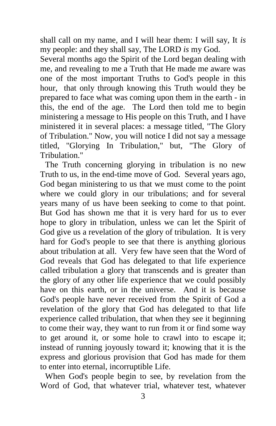shall call on my name, and I will hear them: I will say, It *is* my people: and they shall say, The LORD *is* my God.

Several months ago the Spirit of the Lord began dealing with me, and revealing to me a Truth that He made me aware was one of the most important Truths to God's people in this hour, that only through knowing this Truth would they be prepared to face what was coming upon them in the earth - in this, the end of the age. The Lord then told me to begin ministering a message to His people on this Truth, and I have ministered it in several places: a message titled, "The Glory of Tribulation." Now, you will notice I did not say a message titled, "Glorying In Tribulation," but, "The Glory of Tribulation."

The Truth concerning glorying in tribulation is no new Truth to us, in the end-time move of God. Several years ago, God began ministering to us that we must come to the point where we could glory in our tribulations; and for several years many of us have been seeking to come to that point. But God has shown me that it is very hard for us to ever hope to glory in tribulation, unless we can let the Spirit of God give us a revelation of the glory of tribulation. It is very hard for God's people to see that there is anything glorious about tribulation at all. Very few have seen that the Word of God reveals that God has delegated to that life experience called tribulation a glory that transcends and is greater than the glory of any other life experience that we could possibly have on this earth, or in the universe. And it is because God's people have never received from the Spirit of God a revelation of the glory that God has delegated to that life experience called tribulation, that when they see it beginning to come their way, they want to run from it or find some way to get around it, or some hole to crawl into to escape it; instead of running joyously toward it; knowing that it is the express and glorious provision that God has made for them to enter into eternal, incorruptible Life.

When God's people begin to see, by revelation from the Word of God, that whatever trial, whatever test, whatever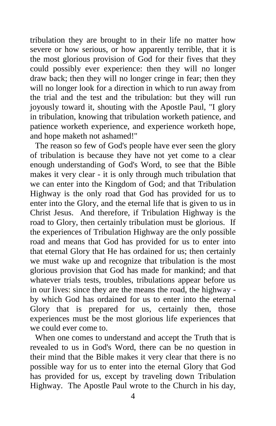tribulation they are brought to in their life no matter how severe or how serious, or how apparently terrible, that it is the most glorious provision of God for their fives that they could possibly ever experience: then they will no longer draw back; then they will no longer cringe in fear; then they will no longer look for a direction in which to run away from the trial and the test and the tribulation: but they will run joyously toward it, shouting with the Apostle Paul, "I glory in tribulation, knowing that tribulation worketh patience, and patience worketh experience, and experience worketh hope, and hope maketh not ashamed!"

The reason so few of God's people have ever seen the glory of tribulation is because they have not yet come to a clear enough understanding of God's Word, to see that the Bible makes it very clear - it is only through much tribulation that we can enter into the Kingdom of God; and that Tribulation Highway is the only road that God has provided for us to enter into the Glory, and the eternal life that is given to us in Christ Jesus. And therefore, if Tribulation Highway is the road to Glory, then certainly tribulation must be glorious. If the experiences of Tribulation Highway are the only possible road and means that God has provided for us to enter into that eternal Glory that He has ordained for us; then certainly we must wake up and recognize that tribulation is the most glorious provision that God has made for mankind; and that whatever trials tests, troubles, tribulations appear before us in our lives: since they are the means the road, the highway by which God has ordained for us to enter into the eternal Glory that is prepared for us, certainly then, those experiences must be the most glorious life experiences that we could ever come to.

When one comes to understand and accept the Truth that is revealed to us in God's Word, there can be no question in their mind that the Bible makes it very clear that there is no possible way for us to enter into the eternal Glory that God has provided for us, except by traveling down Tribulation Highway. The Apostle Paul wrote to the Church in his day,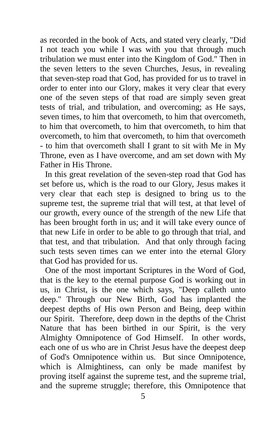as recorded in the book of Acts, and stated very clearly, "Did I not teach you while I was with you that through much tribulation we must enter into the Kingdom of God." Then in the seven letters to the seven Churches, Jesus, in revealing that seven-step road that God, has provided for us to travel in order to enter into our Glory, makes it very clear that every one of the seven steps of that road are simply seven great tests of trial, and tribulation, and overcoming; as He says, seven times, to him that overcometh, to him that overcometh, to him that overcometh, to him that overcometh, to him that overcometh, to him that overcometh, to him that overcometh - to him that overcometh shall I grant to sit with Me in My Throne, even as I have overcome, and am set down with My Father in His Throne.

In this great revelation of the seven-step road that God has set before us, which is the road to our Glory, Jesus makes it very clear that each step is designed to bring us to the supreme test, the supreme trial that will test, at that level of our growth, every ounce of the strength of the new Life that has been brought forth in us; and it will take every ounce of that new Life in order to be able to go through that trial, and that test, and that tribulation. And that only through facing such tests seven times can we enter into the eternal Glory that God has provided for us.

One of the most important Scriptures in the Word of God, that is the key to the eternal purpose God is working out in us, in Christ, is the one which says, "Deep calleth unto deep." Through our New Birth, God has implanted the deepest depths of His own Person and Being, deep within our Spirit. Therefore, deep down in the depths of the Christ Nature that has been birthed in our Spirit, is the very Almighty Omnipotence of God Himself. In other words, each one of us who are in Christ Jesus have the deepest deep of God's Omnipotence within us. But since Omnipotence, which is Almightiness, can only be made manifest by proving itself against the supreme test, and the supreme trial, and the supreme struggle; therefore, this Omnipotence that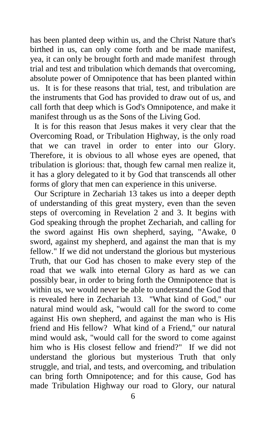has been planted deep within us, and the Christ Nature that's birthed in us, can only come forth and be made manifest, yea, it can only be brought forth and made manifest through trial and test and tribulation which demands that overcoming, absolute power of Omnipotence that has been planted within us. It is for these reasons that trial, test, and tribulation are the instruments that God has provided to draw out of us, and call forth that deep which is God's Omnipotence, and make it manifest through us as the Sons of the Living God.

 It is for this reason that Jesus makes it very clear that the Overcoming Road, or Tribulation Highway, is the only road that we can travel in order to enter into our Glory. Therefore, it is obvious to all whose eyes are opened, that tribulation is glorious: that, though few carnal men realize it, it has a glory delegated to it by God that transcends all other forms of glory that men can experience in this universe.

 Our Scripture in Zechariah 13 takes us into a deeper depth of understanding of this great mystery, even than the seven steps of overcoming in Revelation 2 and 3. It begins with God speaking through the prophet Zechariah, and calling for the sword against His own shepherd, saying, "Awake, 0 sword, against my shepherd, and against the man that is my fellow." If we did not understand the glorious but mysterious Truth, that our God has chosen to make every step of the road that we walk into eternal Glory as hard as we can possibly bear, in order to bring forth the Omnipotence that is within us, we would never be able to understand the God that is revealed here in Zechariah 13. "What kind of God," our natural mind would ask, "would call for the sword to come against His own shepherd, and against the man who is His friend and His fellow? What kind of a Friend," our natural mind would ask, "would call for the sword to come against him who is His closest fellow and friend?" If we did not understand the glorious but mysterious Truth that only struggle, and trial, and tests, and overcoming, and tribulation can bring forth Omnipotence; and for this cause, God has made Tribulation Highway our road to Glory, our natural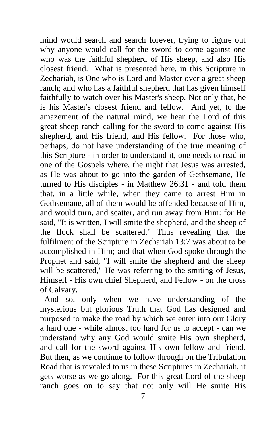mind would search and search forever, trying to figure out why anyone would call for the sword to come against one who was the faithful shepherd of His sheep, and also His closest friend. What is presented here, in this Scripture in Zechariah, is One who is Lord and Master over a great sheep ranch; and who has a faithful shepherd that has given himself faithfully to watch over his Master's sheep. Not only that, he is his Master's closest friend and fellow. And yet, to the amazement of the natural mind, we hear the Lord of this great sheep ranch calling for the sword to come against His shepherd, and His friend, and His fellow. For those who, perhaps, do not have understanding of the true meaning of this Scripture - in order to understand it, one needs to read in one of the Gospels where, the night that Jesus was arrested, as He was about to go into the garden of Gethsemane, He turned to His disciples - in Matthew 26:31 - and told them that, in a little while, when they came to arrest Him in Gethsemane, all of them would be offended because of Him, and would turn, and scatter, and run away from Him: for He said, "It is written, I will smite the shepherd, and the sheep of the flock shall be scattered." Thus revealing that the fulfilment of the Scripture in Zechariah 13:7 was about to be accomplished in Him; and that when God spoke through the Prophet and said, "I will smite the shepherd and the sheep will be scattered," He was referring to the smiting of Jesus, Himself - His own chief Shepherd, and Fellow - on the cross of Calvary.

 And so, only when we have understanding of the mysterious but glorious Truth that God has designed and purposed to make the road by which we enter into our Glory a hard one - while almost too hard for us to accept - can we understand why any God would smite His own shepherd, and call for the sword against His own fellow and friend. But then, as we continue to follow through on the Tribulation Road that is revealed to us in these Scriptures in Zechariah, it gets worse as we go along. For this great Lord of the sheep ranch goes on to say that not only will He smite His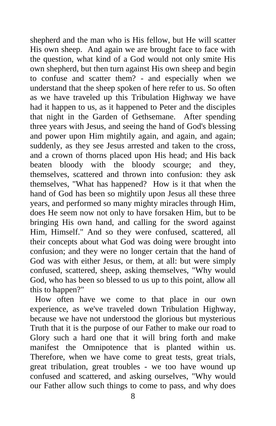shepherd and the man who is His fellow, but He will scatter His own sheep. And again we are brought face to face with the question, what kind of a God would not only smite His own shepherd, but then turn against His own sheep and begin to confuse and scatter them? - and especially when we understand that the sheep spoken of here refer to us. So often as we have traveled up this Tribulation Highway we have had it happen to us, as it happened to Peter and the disciples that night in the Garden of Gethsemane. After spending three years with Jesus, and seeing the hand of God's blessing and power upon Him mightily again, and again, and again; suddenly, as they see Jesus arrested and taken to the cross, and a crown of thorns placed upon His head; and His back beaten bloody with the bloody scourge; and they, themselves, scattered and thrown into confusion: they ask themselves, "What has happened? How is it that when the hand of God has been so mightily upon Jesus all these three years, and performed so many mighty miracles through Him, does He seem now not only to have forsaken Him, but to be bringing His own hand, and calling for the sword against Him, Himself." And so they were confused, scattered, all their concepts about what God was doing were brought into confusion; and they were no longer certain that the hand of God was with either Jesus, or them, at all: but were simply confused, scattered, sheep, asking themselves, "Why would God, who has been so blessed to us up to this point, allow all this to happen?"

How often have we come to that place in our own experience, as we've traveled down Tribulation Highway, because we have not understood the glorious but mysterious Truth that it is the purpose of our Father to make our road to Glory such a hard one that it will bring forth and make manifest the Omnipotence that is planted within us. Therefore, when we have come to great tests, great trials, great tribulation, great troubles - we too have wound up confused and scattered, and asking ourselves, "Why would our Father allow such things to come to pass, and why does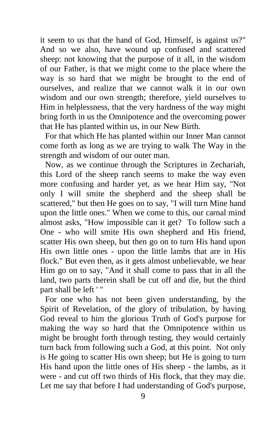it seem to us that the hand of God, Himself, is against us?" And so we also, have wound up confused and scattered sheep: not knowing that the purpose of it all, in the wisdom of our Father, is that we might come to the place where the way is so hard that we might be brought to the end of ourselves, and realize that we cannot walk it in our own wisdom and our own strength; therefore, yield ourselves to Him in helplessness, that the very hardness of the way might bring forth in us the Omnipotence and the overcoming power that He has planted within us, in our New Birth.

For that which He has planted within our Inner Man cannot come forth as long as we are trying to walk The Way in the strength and wisdom of our outer man.

Now, as we continue through the Scriptures in Zechariah, this Lord of the sheep ranch seems to make the way even more confusing and harder yet, as we hear Him say, "Not only I will smite the shepherd and the sheep shall be scattered," but then He goes on to say, "I will turn Mine hand upon the little ones." When we come to this, our carnal mind almost asks, "How impossible can it get? To follow such a One - who will smite His own shepherd and His friend, scatter His own sheep, but then go on to turn His hand upon His own little ones - upon the little lambs that are in His flock." But even then, as it gets almost unbelievable, we hear Him go on to say, "And it shall come to pass that in all the land, two parts therein shall be cut off and die, but the third part shall be left ' "

For one who has not been given understanding, by the Spirit of Revelation, of the glory of tribulation, by having God reveal to him the glorious Truth of God's purpose for making the way so hard that the Omnipotence within us might be brought forth through testing, they would certainly turn back from following such a God, at this point. Not only is He going to scatter His own sheep; but He is going to turn His hand upon the little ones of His sheep - the lambs, as it were - and cut off two thirds of His flock, that they may die. Let me say that before I had understanding of God's purpose,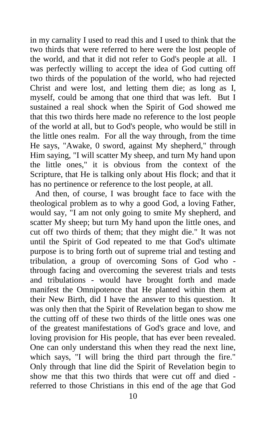in my carnality I used to read this and I used to think that the two thirds that were referred to here were the lost people of the world, and that it did not refer to God's people at all. I was perfectly willing to accept the idea of God cutting off two thirds of the population of the world, who had rejected Christ and were lost, and letting them die; as long as I, myself, could be among that one third that was left. But I sustained a real shock when the Spirit of God showed me that this two thirds here made no reference to the lost people of the world at all, but to God's people, who would be still in the little ones realm. For all the way through, from the time He says, "Awake, 0 sword, against My shepherd," through Him saying, "I will scatter My sheep, and turn My hand upon the little ones," it is obvious from the context of the Scripture, that He is talking only about His flock; and that it has no pertinence or reference to the lost people, at all.

And then, of course, I was brought face to face with the theological problem as to why a good God, a loving Father, would say, "I am not only going to smite My shepherd, and scatter My sheep; but turn My hand upon the little ones, and cut off two thirds of them; that they might die." It was not until the Spirit of God repeated to me that God's ultimate purpose is to bring forth out of supreme trial and testing and tribulation, a group of overcoming Sons of God who through facing and overcoming the severest trials and tests and tribulations - would have brought forth and made manifest the Omnipotence that He planted within them at their New Birth, did I have the answer to this question. It was only then that the Spirit of Revelation began to show me the cutting off of these two thirds of the little ones was one of the greatest manifestations of God's grace and love, and loving provision for His people, that has ever been revealed. One can only understand this when they read the next line, which says, "I will bring the third part through the fire." Only through that line did the Spirit of Revelation begin to show me that this two thirds that were cut off and died referred to those Christians in this end of the age that God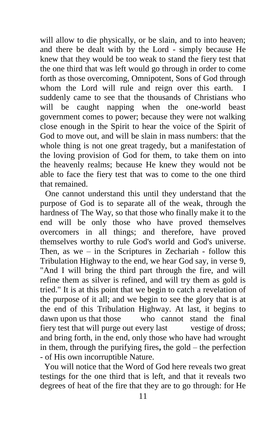will allow to die physically, or be slain, and to into heaven; and there be dealt with by the Lord - simply because He knew that they would be too weak to stand the fiery test that the one third that was left would go through in order to come forth as those overcoming, Omnipotent, Sons of God through whom the Lord will rule and reign over this earth. I suddenly came to see that the thousands of Christians who will be caught napping when the one-world beast government comes to power; because they were not walking close enough in the Spirit to hear the voice of the Spirit of God to move out, and will be slain in mass numbers: that the whole thing is not one great tragedy, but a manifestation of the loving provision of God for them, to take them on into the heavenly realms; because He knew they would not be able to face the fiery test that was to come to the one third that remained.

One cannot understand this until they understand that the purpose of God is to separate all of the weak, through the hardness of The Way, so that those who finally make it to the end will be only those who have proved themselves overcomers in all things; and therefore, have proved themselves worthy to rule God's world and God's universe. Then, as we – in the Scriptures in Zechariah - follow this Tribulation Highway to the end, we hear God say, in verse 9, "And I will bring the third part through the fire, and will refine them as silver is refined, and will try them as gold is tried." It is at this point that we begin to catch a revelation of the purpose of it all; and we begin to see the glory that is at the end of this Tribulation Highway. At last, it begins to dawn upon us that those who cannot stand the final fiery test that will purge out every last vestige of dross; and bring forth, in the end, only those who have had wrought in them, through the purifying fires**,** the gold – the perfection - of His own incorruptible Nature.

 You will notice that the Word of God here reveals two great testings for the one third that is left, and that it reveals two degrees of heat of the fire that they are to go through: for He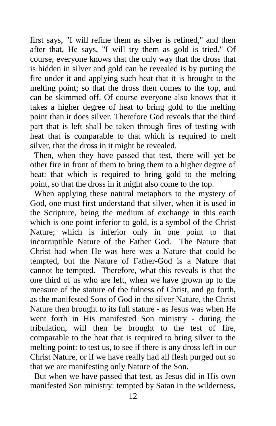first says, "I will refine them as silver is refined," and then after that, He says, "I will try them as gold is tried." Of course, everyone knows that the only way that the dross that is hidden in silver and gold can be revealed is by putting the fire under it and applying such heat that it is brought to the melting point; so that the dross then comes to the top, and can be skimmed off. Of course everyone also knows that it takes a higher degree of heat to bring gold to the melting point than it does silver. Therefore God reveals that the third part that is left shall be taken through fires of testing with heat that is comparable to that which is required to melt silver, that the dross in it might be revealed.

 Then, when they have passed that test, there will yet be other fire in front of them to bring them to a higher degree of heat: that which is required to bring gold to the melting point, so that the dross in it might also come to the top.

 When applying these natural metaphors to the mystery of God, one must first understand that silver, when it is used in the Scripture, being the medium of exchange in this earth which is one point inferior to gold, is a symbol of the Christ Nature; which is inferior only in one point to that incorruptible Nature of the Father God. The Nature that Christ had when He was here was a Nature that could be tempted, but the Nature of Father-God is a Nature that cannot be tempted. Therefore, what this reveals is that the one third of us who are left, when we have grown up to the measure of the stature of the fulness of Christ, and go forth, as the manifested Sons of God in the silver Nature, the Christ Nature then brought to its full stature - as Jesus was when He went forth in His manifested Son ministry - during the tribulation, will then be brought to the test of fire, comparable to the heat that is required to bring silver to the melting point: to test us, to see if there is any dross left in our Christ Nature, or if we have really had all flesh purged out so that we are manifesting only Nature of the Son.

 But when we have passed that test, as Jesus did in His own manifested Son ministry: tempted by Satan in the wilderness,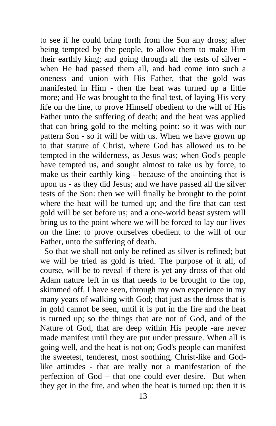to see if he could bring forth from the Son any dross; after being tempted by the people, to allow them to make Him their earthly king; and going through all the tests of silver when He had passed them all, and had come into such a oneness and union with His Father, that the gold was manifested in Him - then the heat was turned up a little more; and He was brought to the final test, of laying His very life on the line, to prove Himself obedient to the will of His Father unto the suffering of death; and the heat was applied that can bring gold to the melting point: so it was with our pattern Son - so it will be with us. When we have grown up to that stature of Christ, where God has allowed us to be tempted in the wilderness, as Jesus was; when God's people have tempted us, and sought almost to take us by force, to make us their earthly king - because of the anointing that is upon us - as they did Jesus; and we have passed all the silver tests of the Son: then we will finally be brought to the point where the heat will be turned up; and the fire that can test gold will be set before us; and a one-world beast system will bring us to the point where we will be forced to lay our lives on the line: to prove ourselves obedient to the will of our Father, unto the suffering of death.

 So that we shall not only be refined as silver is refined; but we will be tried as gold is tried. The purpose of it all, of course, will be to reveal if there is yet any dross of that old Adam nature left in us that needs to be brought to the top, skimmed off. I have seen, through my own experience in my many years of walking with God; that just as the dross that is in gold cannot be seen, until it is put in the fire and the heat is turned up; so the things that are not of God, and of the Nature of God, that are deep within His people -are never made manifest until they are put under pressure. When all is going well, and the heat is not on; God's people can manifest the sweetest, tenderest, most soothing, Christ-like and Godlike attitudes - that are really not a manifestation of the perfection of God – that one could ever desire. But when they get in the fire, and when the heat is turned up: then it is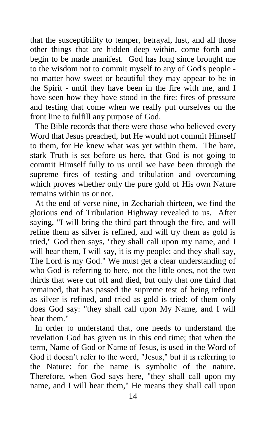that the susceptibility to temper, betrayal, lust, and all those other things that are hidden deep within, come forth and begin to be made manifest. God has long since brought me to the wisdom not to commit myself to any of God's people no matter how sweet or beautiful they may appear to be in the Spirit - until they have been in the fire with me, and I have seen how they have stood in the fire: fires of pressure and testing that come when we really put ourselves on the front line to fulfill any purpose of God.

The Bible records that there were those who believed every Word that Jesus preached, but He would not commit Himself to them, for He knew what was yet within them. The bare, stark Truth is set before us here, that God is not going to commit Himself fully to us until we have been through the supreme fires of testing and tribulation and overcoming which proves whether only the pure gold of His own Nature remains within us or not.

At the end of verse nine, in Zechariah thirteen, we find the glorious end of Tribulation Highway revealed to us. After saying, "I will bring the third part through the fire, and will refine them as silver is refined, and will try them as gold is tried," God then says, "they shall call upon my name, and I will hear them, I will say, it is my people: and they shall say, The Lord is my God." We must get a clear understanding of who God is referring to here, not the little ones, not the two thirds that were cut off and died, but only that one third that remained, that has passed the supreme test of being refined as silver is refined, and tried as gold is tried: of them only does God say: "they shall call upon My Name, and I will hear them."

In order to understand that, one needs to understand the revelation God has given us in this end time; that when the term, Name of God or Name of Jesus, is used in the Word of God it doesn't refer to the word, "Jesus," but it is referring to the Nature: for the name is symbolic of the nature. Therefore, when God says here, "they shall call upon my name, and I will hear them," He means they shall call upon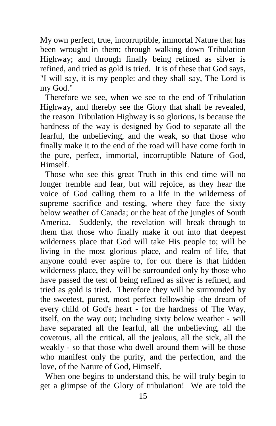My own perfect, true, incorruptible, immortal Nature that has been wrought in them; through walking down Tribulation Highway; and through finally being refined as silver is refined, and tried as gold is tried. It is of these that God says, "I will say, it is my people: and they shall say, The Lord is my God."

Therefore we see, when we see to the end of Tribulation Highway, and thereby see the Glory that shall be revealed, the reason Tribulation Highway is so glorious, is because the hardness of the way is designed by God to separate all the fearful, the unbelieving, and the weak, so that those who finally make it to the end of the road will have come forth in the pure, perfect, immortal, incorruptible Nature of God, Himself.

Those who see this great Truth in this end time will no longer tremble and fear, but will rejoice, as they hear the voice of God calling them to a life in the wilderness of supreme sacrifice and testing, where they face the sixty below weather of Canada; or the heat of the jungles of South America. Suddenly, the revelation will break through to them that those who finally make it out into that deepest wilderness place that God will take His people to; will be living in the most glorious place, and realm of life, that anyone could ever aspire to, for out there is that hidden wilderness place, they will be surrounded only by those who have passed the test of being refined as silver is refined, and tried as gold is tried. Therefore they will be surrounded by the sweetest, purest, most perfect fellowship -the dream of every child of God's heart - for the hardness of The Way, itself, on the way out; including sixty below weather - will have separated all the fearful, all the unbelieving, all the covetous, all the critical, all the jealous, all the sick, all the weakly - so that those who dwell around them will be those who manifest only the purity, and the perfection, and the love, of the Nature of God, Himself.

When one begins to understand this, he will truly begin to get a glimpse of the Glory of tribulation! We are told the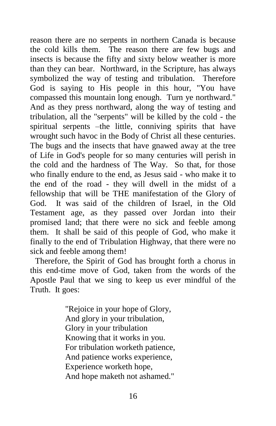reason there are no serpents in northern Canada is because the cold kills them. The reason there are few bugs and insects is because the fifty and sixty below weather is more than they can bear. Northward, in the Scripture, has always symbolized the way of testing and tribulation. Therefore God is saying to His people in this hour, "You have compassed this mountain long enough. Turn ye northward." And as they press northward, along the way of testing and tribulation, all the "serpents" will be killed by the cold - the spiritual serpents –the little, conniving spirits that have wrought such havoc in the Body of Christ all these centuries. The bugs and the insects that have gnawed away at the tree of Life in God's people for so many centuries will perish in the cold and the hardness of The Way. So that, for those who finally endure to the end, as Jesus said - who make it to the end of the road - they will dwell in the midst of a fellowship that will be THE manifestation of the Glory of God. It was said of the children of Israel, in the Old Testament age, as they passed over Jordan into their promised land; that there were no sick and feeble among them. It shall be said of this people of God, who make it finally to the end of Tribulation Highway, that there were no sick and feeble among them!

Therefore, the Spirit of God has brought forth a chorus in this end-time move of God, taken from the words of the Apostle Paul that we sing to keep us ever mindful of the Truth. It goes:

> "Rejoice in your hope of Glory, And glory in your tribulation, Glory in your tribulation Knowing that it works in you. For tribulation worketh patience, And patience works experience, Experience worketh hope, And hope maketh not ashamed."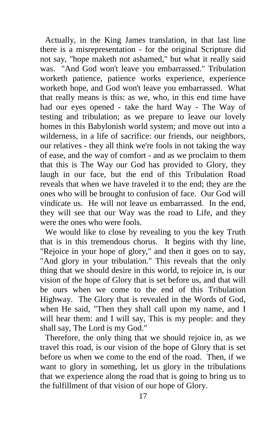Actually, in the King James translation, in that last line there is a misrepresentation - for the original Scripture did not say, "hope maketh not ashamed," but what it really said was. "And God won't leave you embarrassed." Tribulation worketh patience, patience works experience, experience worketh hope, and God won't leave you embarrassed. What that really means is this: as we, who, in this end time have had our eyes opened - take the hard Way - The Way of testing and tribulation; as we prepare to leave our lovely homes in this Babylonish world system; and move out into a wilderness, in a life of sacrifice: our friends, our neighbors, our relatives - they all think we're fools in not taking the way of ease, and the way of comfort - and as we proclaim to them that this is The Way our God has provided to Glory, they laugh in our face, but the end of this Tribulation Road reveals that when we have traveled it to the end; they are the ones who will be brought to confusion of face. Our God will vindicate us. He will not leave us embarrassed. In the end, they will see that our Way was the road to Life, and they were the ones who were fools.

We would like to close by revealing to you the key Truth that is in this tremendous chorus. It begins with thy line, "Rejoice in your hope of glory," and then it goes on to say, "And glory in your tribulation." This reveals that the only thing that we should desire in this world, to rejoice in, is our vision of the hope of Glory that is set before us, and that will be ours when we come to the end of this Tribulation Highway. The Glory that is revealed in the Words of God, when He said, "Then they shall call upon my name, and I will hear them: and I will say, This is my people: and they shall say, The Lord is my God."

Therefore, the only thing that we should rejoice in, as we travel this road, is our vision of the hope of Glory that is set before us when we come to the end of the road. Then, if we want to glory in something, let us glory in the tribulations that we experience along the road that is going to bring us to the fulfillment of that vision of our hope of Glory.